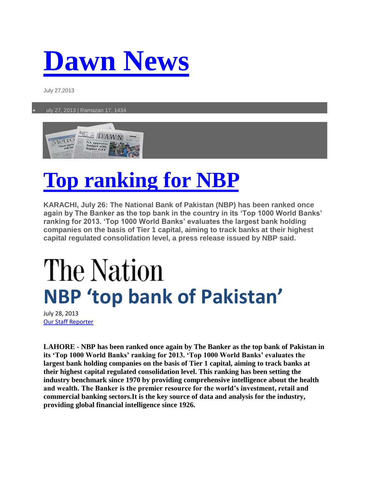## **[Dawn News](http://dawn.com/)**

July 27,2013

July 27, 2013 | Ramazan 17, 1434



## **[Top ranking for NBP](http://dawn.com/news/1032212/top-ranking-for-nbp)**

**KARACHI, July 26: The National Bank of Pakistan (NBP) has been ranked once again by The Banker as the top bank in the country in its 'Top 1000 World Banks' ranking for 2013. 'Top 1000 World Banks' evaluates the largest bank holding companies on the basis of Tier 1 capital, aiming to track banks at their highest capital regulated consolidation level, a press release issued by NBP said.**

## The Nation **NBP 'top bank of Pakistan'**

July 28, 2013 [Our Staff Reporter](http://www.nation.com.pk/pakistan-news-newspaper-daily-english-online/Reporter/our-staff-reporter)

**LAHORE - NBP has been ranked once again by The Banker as the top bank of Pakistan in its 'Top 1000 World Banks' ranking for 2013. 'Top 1000 World Banks' evaluates the largest bank holding companies on the basis of Tier 1 capital, aiming to track banks at their highest capital regulated consolidation level. This ranking has been setting the industry benchmark since 1970 by providing comprehensive intelligence about the health and wealth. The Banker is the premier resource for the world's investment, retail and commercial banking sectors.It is the key source of data and analysis for the industry, providing global financial intelligence since 1926.**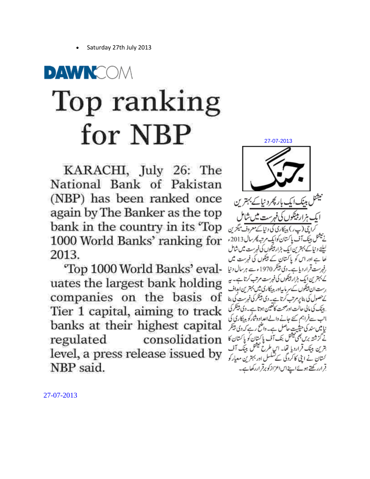Saturday 27th July 2013

## DAWNCOM Top ranking for NBP

KARACHI, July 26: The National Bank of Pakistan (NBP) has been ranked once again by The Banker as the top bank in the country in its 'Top 1000 World Banks' ranking for 2013.

"Top 1000 World Banks' evaluates the largest bank holding companies on the basis of Tier 1 capital, aiming to track banks at their highest capital regulated consolidation level, a press release issued by NBP said.

ہار پھرد نیا کے بہتر <sup>م</sup>ن ہزار پینکوں کی فہرست میں شامل پ ر) بدنکاری کی د نیا کے معروف میگزین مآف پاکسان کوایک مرتبه *پھر س*ال 2013ء کیلئے ونیاکے بہترین ایک ہزار پیکوں کی فہرست میں شامل لھا ہے اور اس کو پاکستان کے بیٹکوں کی فہرست میں رفہرست قرار دیا ہے۔ دی بینکر 1970ء سے ہرسال دنیا کے بہترین ایک ہزار پیٹوں کی فہرست مرتب کرتا ہے۔ یہ رست ان پینکوں کے سر ماںیاور بدینکاری میں بہترین امداف <u> کے حصول کی بناپر مرتب گرتا ہے۔ دی پیٹکر کی فہرست کی بنا</u> بینک کی مالی حالت اور صحت کاتعین ہوتا ہے۔ دی پینکر کی انب سےفراہم کئے جانے والےاعدادوشارکو بینکاری کی نیا میں سند کی حیثیت حاصل ہے۔ واضح رہے کہ دی پینکر نے گزشتہ برس بھی بیشل بنک آف پاکستان کو پاکستان کا هرین بینک قرارد یا تفا۔ ا<sub>کیا</sub> طرح فیشل بینک آف کستان نے اپنی کا کردگی کے تشکسل اور بہترین معیار کو قرارر کھتے ہوئے اپنےاس اعزازکو برقراررکھاہے۔

27-07-2013

27-07-2013